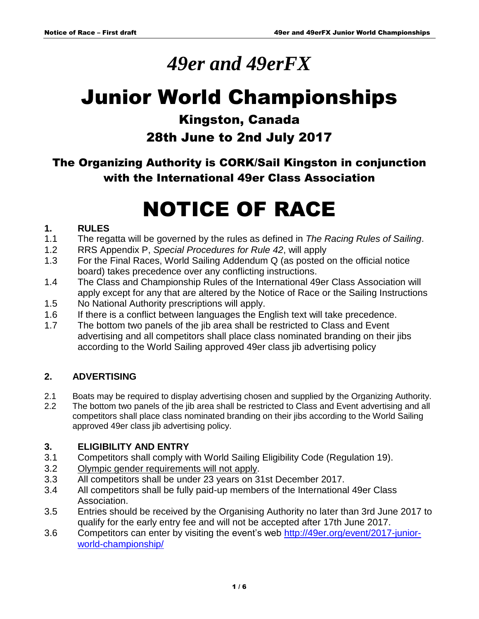## *49er and 49erFX*

# Junior World Championships

### Kingston, Canada

## 28th June to 2nd July 2017

The Organizing Authority is CORK/Sail Kingston in conjunction with the International 49er Class Association

# NOTICE OF RACE

#### **1. RULES**

- 1.1 The regatta will be governed by the rules as defined in *The Racing Rules of Sailing*.
- 1.2 RRS Appendix P, *Special Procedures for Rule 42*, will apply
- 1.3 For the Final Races, World Sailing Addendum Q (as posted on the official notice board) takes precedence over any conflicting instructions.
- 1.4 The Class and Championship Rules of the International 49er Class Association will apply except for any that are altered by the Notice of Race or the Sailing Instructions
- 1.5 No National Authority prescriptions will apply.
- 1.6 If there is a conflict between languages the English text will take precedence.
- 1.7 The bottom two panels of the jib area shall be restricted to Class and Event advertising and all competitors shall place class nominated branding on their jibs according to the World Sailing approved 49er class jib advertising policy

#### **2. ADVERTISING**

- 2.1 Boats may be required to display advertising chosen and supplied by the Organizing Authority.
- 2.2 The bottom two panels of the jib area shall be restricted to Class and Event advertising and all competitors shall place class nominated branding on their jibs according to the World Sailing approved 49er class jib advertising policy.

#### **3. ELIGIBILITY AND ENTRY**

- 3.1 Competitors shall comply with World Sailing Eligibility Code (Regulation 19).
- 3.2 Olympic gender requirements will not apply.
- 3.3 All competitors shall be under 23 years on 31st December 2017.
- 3.4 All competitors shall be fully paid-up members of the International 49er Class Association.
- 3.5 Entries should be received by the Organising Authority no later than 3rd June 2017 to qualify for the early entry fee and will not be accepted after 17th June 2017.
- 3.6 Competitors can enter by visiting the event's web [http://49er.org/event/2017-junior](http://49er.org/event/2017-junior-world-championship/)[world-championship/](http://49er.org/event/2017-junior-world-championship/)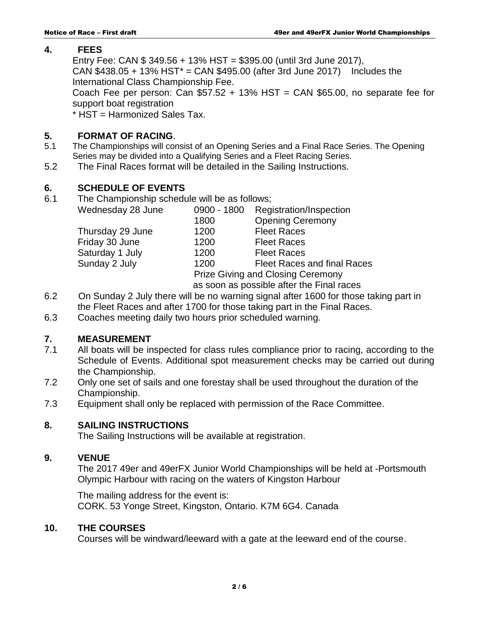#### **4. FEES**

Entry Fee: CAN \$ 349.56 + 13% HST = \$395.00 (until 3rd June 2017), CAN  $$438.05 + 13\%$  HST<sup>\*</sup> = CAN  $$495.00$  (after 3rd June 2017) Includes the International Class Championship Fee.

Coach Fee per person: Can  $$57.52 + 13\%$  HST = CAN  $$65.00$ , no separate fee for support boat registration

\* HST = Harmonized Sales Tax.

#### **5. FORMAT OF RACING**.

- 5.1 The Championships will consist of an Opening Series and a Final Race Series. The Opening Series may be divided into a Qualifying Series and a Fleet Racing Series.
- 5.2 The Final Races format will be detailed in the Sailing Instructions.

#### **6. SCHEDULE OF EVENTS**

- 
- 6.1 The Championship schedule will be as follows;
	- Wednesday 28 June 0900 1800 Registration/Inspection 1800 Opening Ceremony Thursday 29 June 1200 Fleet Races Friday 30 June 1200 Fleet Races Saturday 1 July 1200 Fleet Races Sunday 2 July 1200 Fleet Races and final Races Prize Giving and Closing Ceremony as soon as possible after the Final races
- 6.2 On Sunday 2 July there will be no warning signal after 1600 for those taking part in the Fleet Races and after 1700 for those taking part in the Final Races.
- 6.3 Coaches meeting daily two hours prior scheduled warning.

#### **7. MEASUREMENT**

- 7.1 All boats will be inspected for class rules compliance prior to racing, according to the Schedule of Events. Additional spot measurement checks may be carried out during the Championship.
- 7.2 Only one set of sails and one forestay shall be used throughout the duration of the Championship.
- 7.3 Equipment shall only be replaced with permission of the Race Committee.

#### **8. SAILING INSTRUCTIONS**

The Sailing Instructions will be available at registration.

#### **9. VENUE**

The 2017 49er and 49erFX Junior World Championships will be held at -Portsmouth Olympic Harbour with racing on the waters of Kingston Harbour

The mailing address for the event is: CORK. 53 Yonge Street, Kingston, Ontario. K7M 6G4. Canada

#### **10. THE COURSES**

Courses will be windward/leeward with a gate at the leeward end of the course.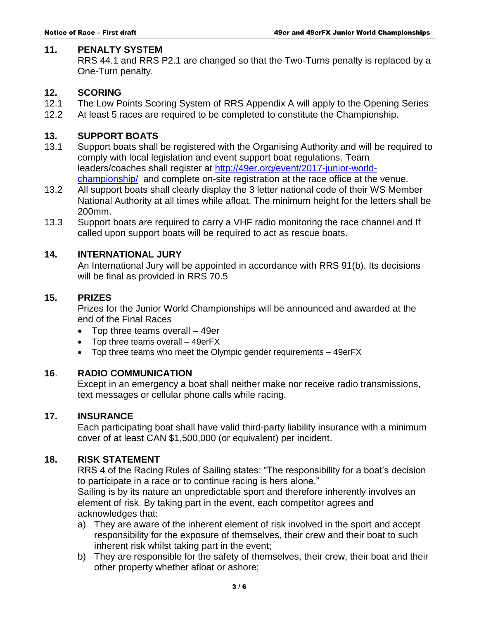#### **11. PENALTY SYSTEM**

RRS 44.1 and RRS P2.1 are changed so that the Two-Turns penalty is replaced by a One-Turn penalty.

#### **12. SCORING**

- 12.1 The Low Points Scoring System of RRS Appendix A will apply to the Opening Series
- 12.2 At least 5 races are required to be completed to constitute the Championship.

#### **13. SUPPORT BOATS**

- 13.1 Support boats shall be registered with the Organising Authority and will be required to comply with local legislation and event support boat regulations. Team leaders/coaches shall register at [http://49er.org/event/2017-junior-world](http://49er.org/event/2017-junior-world-championship/)[championship/](http://49er.org/event/2017-junior-world-championship/) and complete on-site registration at the race office at the venue.
- 13.2 All support boats shall clearly display the 3 letter national code of their WS Member National Authority at all times while afloat. The minimum height for the letters shall be 200mm.
- 13.3 Support boats are required to carry a VHF radio monitoring the race channel and If called upon support boats will be required to act as rescue boats.

#### **14. INTERNATIONAL JURY**

An International Jury will be appointed in accordance with RRS 91(b). Its decisions will be final as provided in RRS 70.5

#### **15. PRIZES**

Prizes for the Junior World Championships will be announced and awarded at the end of the Final Races

- Top three teams overall 49er
- Top three teams overall 49erFX
- Top three teams who meet the Olympic gender requirements 49erFX

#### **16**. **RADIO COMMUNICATION**

Except in an emergency a boat shall neither make nor receive radio transmissions, text messages or cellular phone calls while racing.

#### **17. INSURANCE**

Each participating boat shall have valid third-party liability insurance with a minimum cover of at least CAN \$1,500,000 (or equivalent) per incident.

#### **18. RISK STATEMENT**

RRS 4 of the Racing Rules of Sailing states: "The responsibility for a boat's decision to participate in a race or to continue racing is hers alone."

Sailing is by its nature an unpredictable sport and therefore inherently involves an element of risk. By taking part in the event, each competitor agrees and acknowledges that:

- a) They are aware of the inherent element of risk involved in the sport and accept responsibility for the exposure of themselves, their crew and their boat to such inherent risk whilst taking part in the event;
- b) They are responsible for the safety of themselves, their crew, their boat and their other property whether afloat or ashore;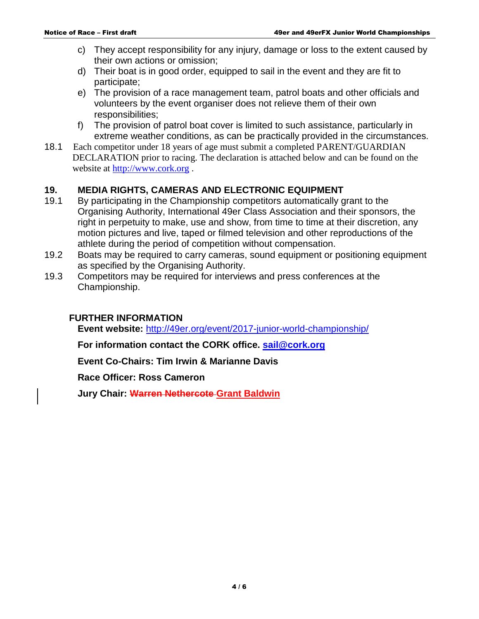- c) They accept responsibility for any injury, damage or loss to the extent caused by their own actions or omission;
- d) Their boat is in good order, equipped to sail in the event and they are fit to participate;
- e) The provision of a race management team, patrol boats and other officials and volunteers by the event organiser does not relieve them of their own responsibilities;
- f) The provision of patrol boat cover is limited to such assistance, particularly in extreme weather conditions, as can be practically provided in the circumstances.
- 18.1 Each competitor under 18 years of age must submit a completed PARENT/GUARDIAN DECLARATION prior to racing. The declaration is attached below and can be found on the website at [http://www.cork.org](http://www.cork.org/) .

#### **19. MEDIA RIGHTS, CAMERAS AND ELECTRONIC EQUIPMENT**

- 19.1 By participating in the Championship competitors automatically grant to the Organising Authority, International 49er Class Association and their sponsors, the right in perpetuity to make, use and show, from time to time at their discretion, any motion pictures and live, taped or filmed television and other reproductions of the athlete during the period of competition without compensation.
- 19.2 Boats may be required to carry cameras, sound equipment or positioning equipment as specified by the Organising Authority.
- 19.3 Competitors may be required for interviews and press conferences at the Championship.

#### **FURTHER INFORMATION**

**Event website:** <http://49er.org/event/2017-junior-world-championship/>

**For information contact the CORK office. [sail@cork.org](mailto:sail@cork.org)**

**Event Co-Chairs: Tim Irwin & Marianne Davis**

**Race Officer: Ross Cameron**

**Jury Chair: Warren Nethercote Grant Baldwin**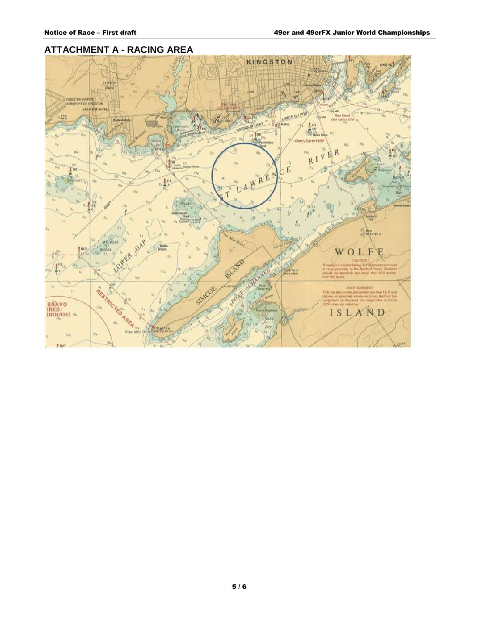#### **ATTACHMENT A - RACING AREA**